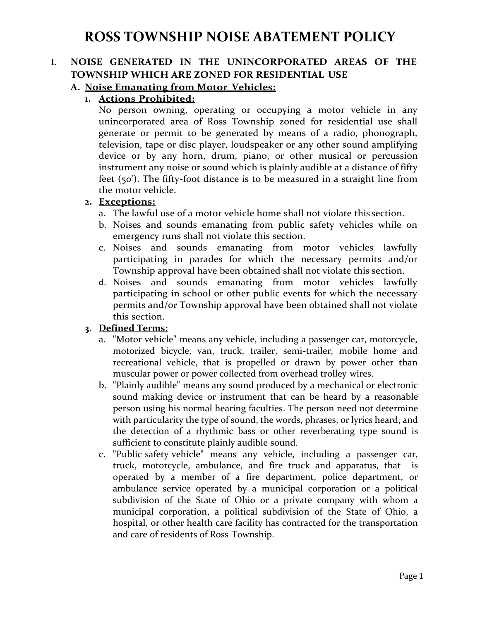## **I. NOISE GENERATED IN THE UNINCORPORATED AREAS OF THE TOWNSHIP WHICH ARE ZONED FOR RESIDENTIAL USE**

#### **A. Noise Emanating from Motor Vehicles:**

#### **1. Actions Prohibited:**

No person owning, operating or occupying a motor vehicle in any unincorporated area of Ross Township zoned for residential use shall generate or permit to be generated by means of a radio, phonograph, television, tape or disc player, loudspeaker or any other sound amplifying device or by any horn, drum, piano, or other musical or percussion instrument any noise or sound which is plainly audible at a distance of fifty feet (50'). The fifty-foot distance is to be measured in a straight line from the motor vehicle.

#### **2. Exceptions:**

- a. The lawful use of a motor vehicle home shall not violate this section.
- b. Noises and sounds emanating from public safety vehicles while on emergency runs shall not violate this section.
- c. Noises and sounds emanating from motor vehicles lawfully participating in parades for which the necessary permits and/or Township approval have been obtained shall not violate this section.
- d. Noises and sounds emanating from motor vehicles lawfully participating in school or other public events for which the necessary permits and/or Township approval have been obtained shall not violate this section.

- a. "Motor vehicle" means any vehicle, including a passenger car, motorcycle, motorized bicycle, van, truck, trailer, semi-trailer, mobile home and recreational vehicle, that is propelled or drawn by power other than muscular power or power collected from overhead trolley wires.
- b. "Plainly audible" means any sound produced by a mechanical or electronic sound making device or instrument that can be heard by a reasonable person using his normal hearing faculties. The person need not determine with particularity the type of sound, the words, phrases, or lyrics heard, and the detection of a rhythmic bass or other reverberating type sound is sufficient to constitute plainly audible sound.
- c. "Public safety vehicle" means any vehicle, including a passenger car, truck, motorcycle, ambulance, and fire truck and apparatus, that is operated by a member of a fire department, police department, or ambulance service operated by a municipal corporation or a political subdivision of the State of Ohio or a private company with whom a municipal corporation, a political subdivision of the State of Ohio, a hospital, or other health care facility has contracted for the transportation and care of residents of Ross Township.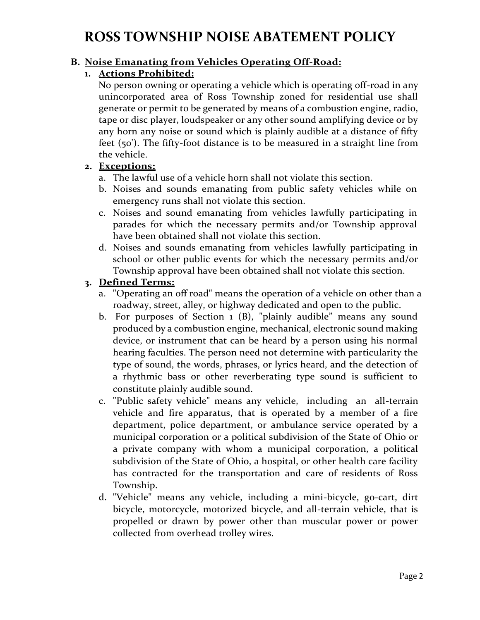### **B. Noise Emanating from Vehicles Operating Off-Road:**

#### **1. Actions Prohibited:**

No person owning or operating a vehicle which is operating off-road in any unincorporated area of Ross Township zoned for residential use shall generate or permit to be generated by means of a combustion engine, radio, tape or disc player, loudspeaker or any other sound amplifying device or by any horn any noise or sound which is plainly audible at a distance of fifty feet (50'). The fifty-foot distance is to be measured in a straight line from the vehicle.

#### **2. Exceptions:**

- a. The lawful use of a vehicle horn shall not violate this section.
- b. Noises and sounds emanating from public safety vehicles while on emergency runs shall not violate this section.
- c. Noises and sound emanating from vehicles lawfully participating in parades for which the necessary permits and/or Township approval have been obtained shall not violate this section.
- d. Noises and sounds emanating from vehicles lawfully participating in school or other public events for which the necessary permits and/or Township approval have been obtained shall not violate this section.

- a. "Operating an off road" means the operation of a vehicle on other than a roadway, street, alley, or highway dedicated and open to the public.
- b. For purposes of Section 1 (B), "plainly audible" means any sound produced by a combustion engine, mechanical, electronic sound making device, or instrument that can be heard by a person using his normal hearing faculties. The person need not determine with particularity the type of sound, the words, phrases, or lyrics heard, and the detection of a rhythmic bass or other reverberating type sound is sufficient to constitute plainly audible sound.
- c. "Public safety vehicle" means any vehicle, including an all-terrain vehicle and fire apparatus, that is operated by a member of a fire department, police department, or ambulance service operated by a municipal corporation or a political subdivision of the State of Ohio or a private company with whom a municipal corporation, a political subdivision of the State of Ohio, a hospital, or other health care facility has contracted for the transportation and care of residents of Ross Township.
- d. "Vehicle" means any vehicle, including a mini-bicycle, go-cart, dirt bicycle, motorcycle, motorized bicycle, and all-terrain vehicle, that is propelled or drawn by power other than muscular power or power collected from overhead trolley wires.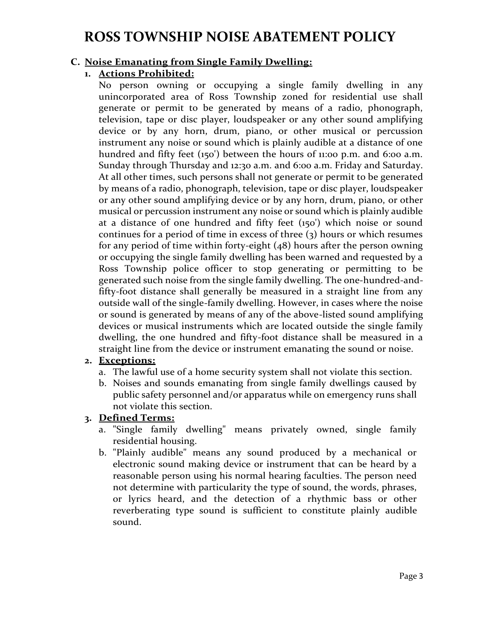### **C. Noise Emanating from Single Family Dwelling:**

#### **1. Actions Prohibited:**

No person owning or occupying a single family dwelling in any unincorporated area of Ross Township zoned for residential use shall generate or permit to be generated by means of a radio, phonograph, television, tape or disc player, loudspeaker or any other sound amplifying device or by any horn, drum, piano, or other musical or percussion instrument any noise or sound which is plainly audible at a distance of one hundred and fifty feet (150') between the hours of 11:00 p.m. and 6:00 a.m. Sunday through Thursday and 12:30 a.m. and 6:00 a.m. Friday and Saturday. At all other times, such persons shall not generate or permit to be generated by means of a radio, phonograph, television, tape or disc player, loudspeaker or any other sound amplifying device or by any horn, drum, piano, or other musical or percussion instrument any noise or sound which is plainly audible at a distance of one hundred and fifty feet (150') which noise or sound continues for a period of time in excess of three  $(3)$  hours or which resumes for any period of time within forty-eight (48) hours after the person owning or occupying the single family dwelling has been warned and requested by a Ross Township police officer to stop generating or permitting to be generated such noise from the single family dwelling. The one-hundred-andfifty-foot distance shall generally be measured in a straight line from any outside wall of the single-family dwelling. However, in cases where the noise or sound is generated by means of any of the above-listed sound amplifying devices or musical instruments which are located outside the single family dwelling, the one hundred and fifty-foot distance shall be measured in a straight line from the device or instrument emanating the sound or noise.

### **2. Exceptions:**

- a. The lawful use of a home security system shall not violate this section.
- b. Noises and sounds emanating from single family dwellings caused by public safety personnel and/or apparatus while on emergency runs shall not violate this section.

- a. "Single family dwelling" means privately owned, single family residential housing.
- b. "Plainly audible" means any sound produced by a mechanical or electronic sound making device or instrument that can be heard by a reasonable person using his normal hearing faculties. The person need not determine with particularity the type of sound, the words, phrases, or lyrics heard, and the detection of a rhythmic bass or other reverberating type sound is sufficient to constitute plainly audible sound.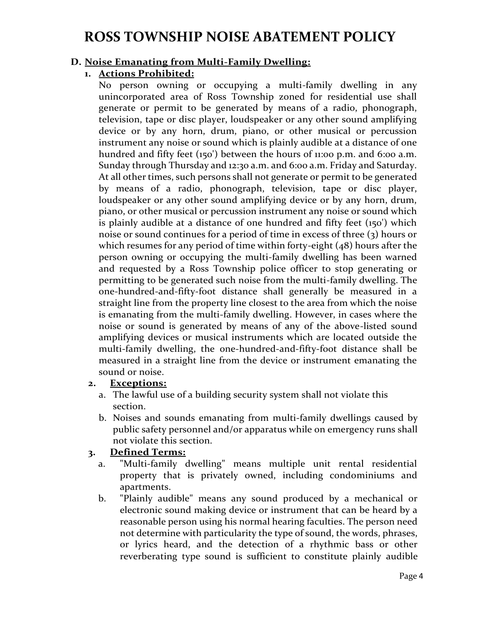#### **D. Noise Emanating from Multi-Family Dwelling:**

#### **1. Actions Prohibited:**

No person owning or occupying a multi-family dwelling in any unincorporated area of Ross Township zoned for residential use shall generate or permit to be generated by means of a radio, phonograph, television, tape or disc player, loudspeaker or any other sound amplifying device or by any horn, drum, piano, or other musical or percussion instrument any noise or sound which is plainly audible at a distance of one hundred and fifty feet (150') between the hours of 11:00 p.m. and 6:00 a.m. Sunday through Thursday and 12:30 a.m. and 6:00 a.m. Friday and Saturday. At all other times, such persons shall not generate or permit to be generated by means of a radio, phonograph, television, tape or disc player, loudspeaker or any other sound amplifying device or by any horn, drum, piano, or other musical or percussion instrument any noise or sound which is plainly audible at a distance of one hundred and fifty feet (150') which noise or sound continues for a period of time in excess of three (3) hours or which resumes for any period of time within forty-eight (48) hours after the person owning or occupying the multi-family dwelling has been warned and requested by a Ross Township police officer to stop generating or permitting to be generated such noise from the multi-family dwelling. The one-hundred-and-fifty-foot distance shall generally be measured in a straight line from the property line closest to the area from which the noise is emanating from the multi-family dwelling. However, in cases where the noise or sound is generated by means of any of the above-listed sound amplifying devices or musical instruments which are located outside the multi-family dwelling, the one-hundred-and-fifty-foot distance shall be measured in a straight line from the device or instrument emanating the sound or noise.

#### **2. Exceptions:**

- a. The lawful use of a building security system shall not violate this section.
- b. Noises and sounds emanating from multi-family dwellings caused by public safety personnel and/or apparatus while on emergency runs shall not violate this section.

- a. "Multi-family dwelling" means multiple unit rental residential property that is privately owned, including condominiums and apartments.
- b. "Plainly audible" means any sound produced by a mechanical or electronic sound making device or instrument that can be heard by a reasonable person using his normal hearing faculties. The person need not determine with particularity the type of sound, the words, phrases, or lyrics heard, and the detection of a rhythmic bass or other reverberating type sound is sufficient to constitute plainly audible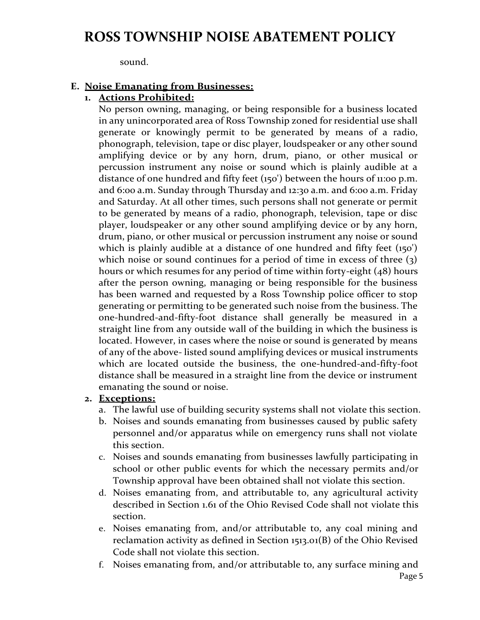sound.

#### **E. Noise Emanating from Businesses:**

#### **1. Actions Prohibited:**

No person owning, managing, or being responsible for a business located in any unincorporated area of Ross Township zoned for residential use shall generate or knowingly permit to be generated by means of a radio, phonograph, television, tape or disc player, loudspeaker or any other sound amplifying device or by any horn, drum, piano, or other musical or percussion instrument any noise or sound which is plainly audible at a distance of one hundred and fifty feet (150') between the hours of 11:00 p.m. and 6:00 a.m. Sunday through Thursday and 12:30 a.m. and 6:00 a.m. Friday and Saturday. At all other times, such persons shall not generate or permit to be generated by means of a radio, phonograph, television, tape or disc player, loudspeaker or any other sound amplifying device or by any horn, drum, piano, or other musical or percussion instrument any noise or sound which is plainly audible at a distance of one hundred and fifty feet (150') which noise or sound continues for a period of time in excess of three (3) hours or which resumes for any period of time within forty-eight (48) hours after the person owning, managing or being responsible for the business has been warned and requested by a Ross Township police officer to stop generating or permitting to be generated such noise from the business. The one-hundred-and-fifty-foot distance shall generally be measured in a straight line from any outside wall of the building in which the business is located. However, in cases where the noise or sound is generated by means of any of the above- listed sound amplifying devices or musical instruments which are located outside the business, the one-hundred-and-fifty-foot distance shall be measured in a straight line from the device or instrument emanating the sound or noise.

#### **2. Exceptions:**

- a. The lawful use of building security systems shall not violate this section.
- b. Noises and sounds emanating from businesses caused by public safety personnel and/or apparatus while on emergency runs shall not violate this section.
- c. Noises and sounds emanating from businesses lawfully participating in school or other public events for which the necessary permits and/or Township approval have been obtained shall not violate this section.
- d. Noises emanating from, and attributable to, any agricultural activity described in Section 1.61 of the Ohio Revised Code shall not violate this section.
- e. Noises emanating from, and/or attributable to, any coal mining and reclamation activity as defined in Section 1513.01(B) of the Ohio Revised Code shall not violate this section.
- f. Noises emanating from, and/or attributable to, any surface mining and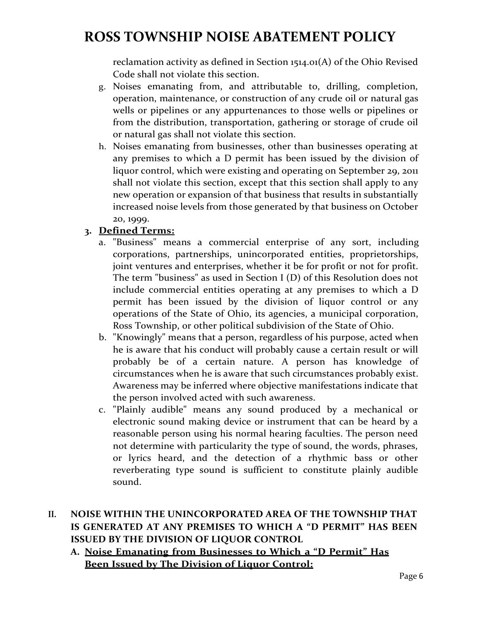reclamation activity as defined in Section 1514.01(A) of the Ohio Revised Code shall not violate this section.

- g. Noises emanating from, and attributable to, drilling, completion, operation, maintenance, or construction of any crude oil or natural gas wells or pipelines or any appurtenances to those wells or pipelines or from the distribution, transportation, gathering or storage of crude oil or natural gas shall not violate this section.
- h. Noises emanating from businesses, other than businesses operating at any premises to which a D permit has been issued by the division of liquor control, which were existing and operating on September 29, 2011 shall not violate this section, except that this section shall apply to any new operation or expansion of that business that results in substantially increased noise levels from those generated by that business on October 20, 1999.

### **3. Defined Terms:**

- a. "Business" means a commercial enterprise of any sort, including corporations, partnerships, unincorporated entities, proprietorships, joint ventures and enterprises, whether it be for profit or not for profit. The term "business" as used in Section I (D) of this Resolution does not include commercial entities operating at any premises to which a D permit has been issued by the division of liquor control or any operations of the State of Ohio, its agencies, a municipal corporation, Ross Township, or other political subdivision of the State of Ohio.
- b. "Knowingly" means that a person, regardless of his purpose, acted when he is aware that his conduct will probably cause a certain result or will probably be of a certain nature. A person has knowledge of circumstances when he is aware that such circumstances probably exist. Awareness may be inferred where objective manifestations indicate that the person involved acted with such awareness.
- c. "Plainly audible" means any sound produced by a mechanical or electronic sound making device or instrument that can be heard by a reasonable person using his normal hearing faculties. The person need not determine with particularity the type of sound, the words, phrases, or lyrics heard, and the detection of a rhythmic bass or other reverberating type sound is sufficient to constitute plainly audible sound.

### **II. NOISE WITHIN THE UNINCORPORATED AREA OF THE TOWNSHIP THAT IS GENERATED AT ANY PREMISES TO WHICH A "D PERMIT" HAS BEEN ISSUED BY THE DIVISION OF LIQUOR CONTROL**

**A. Noise Emanating from Businesses to Which a "D Permit" Has Been Issued by The Division of Liquor Control:**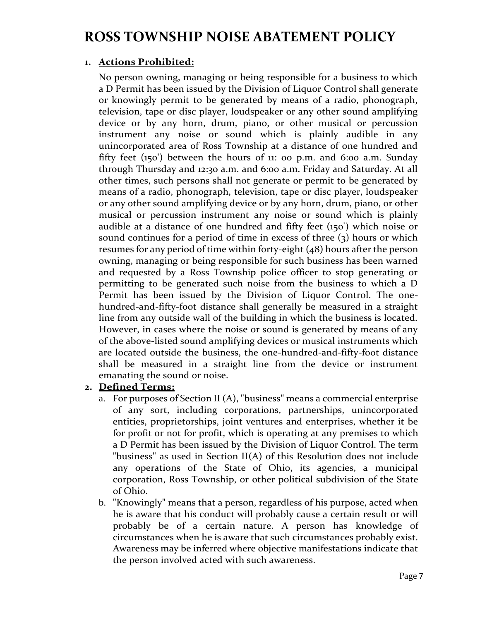#### **1. Actions Prohibited:**

No person owning, managing or being responsible for a business to which a D Permit has been issued by the Division of Liquor Control shall generate or knowingly permit to be generated by means of a radio, phonograph, television, tape or disc player, loudspeaker or any other sound amplifying device or by any horn, drum, piano, or other musical or percussion instrument any noise or sound which is plainly audible in any unincorporated area of Ross Township at a distance of one hundred and fifty feet  $(150)$  between the hours of 11: 00 p.m. and 6:00 a.m. Sunday through Thursday and 12:30 a.m. and 6:00 a.m. Friday and Saturday. At all other times, such persons shall not generate or permit to be generated by means of a radio, phonograph, television, tape or disc player, loudspeaker or any other sound amplifying device or by any horn, drum, piano, or other musical or percussion instrument any noise or sound which is plainly audible at a distance of one hundred and fifty feet (150') which noise or sound continues for a period of time in excess of three (3) hours or which resumes for any period of time within forty-eight (48) hours after the person owning, managing or being responsible for such business has been warned and requested by a Ross Township police officer to stop generating or permitting to be generated such noise from the business to which a D Permit has been issued by the Division of Liquor Control. The onehundred-and-fifty-foot distance shall generally be measured in a straight line from any outside wall of the building in which the business is located. However, in cases where the noise or sound is generated by means of any of the above-listed sound amplifying devices or musical instruments which are located outside the business, the one-hundred-and-fifty-foot distance shall be measured in a straight line from the device or instrument emanating the sound or noise.

- a. For purposes of Section II (A), "business" means a commercial enterprise of any sort, including corporations, partnerships, unincorporated entities, proprietorships, joint ventures and enterprises, whether it be for profit or not for profit, which is operating at any premises to which a D Permit has been issued by the Division of Liquor Control. The term "business" as used in Section II(A) of this Resolution does not include any operations of the State of Ohio, its agencies, a municipal corporation, Ross Township, or other political subdivision of the State of Ohio.
- b. "Knowingly" means that a person, regardless of his purpose, acted when he is aware that his conduct will probably cause a certain result or will probably be of a certain nature. A person has knowledge of circumstances when he is aware that such circumstances probably exist. Awareness may be inferred where objective manifestations indicate that the person involved acted with such awareness.